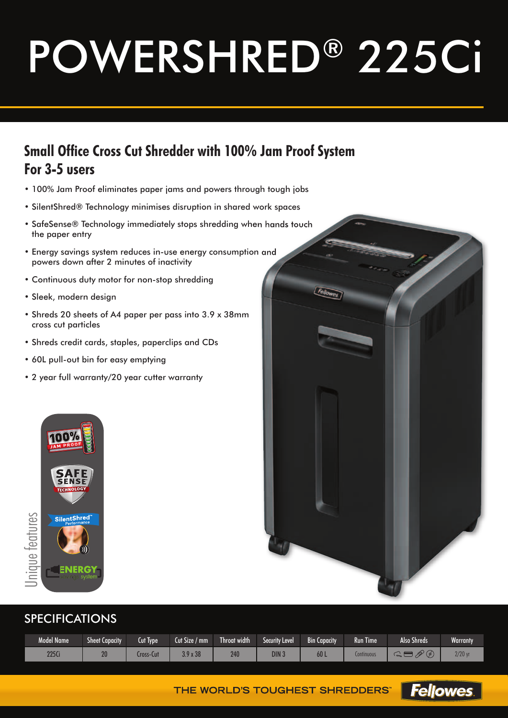# POWERSHRED® 225Ci

### **Small Office Cross Cut Shredder with 100% Jam Proof System For 3-5 users**

- 100% Jam Proof eliminates paper jams and powers through tough jobs
- SilentShred® Technology minimises disruption in shared work spaces
- SafeSense® Technology immediately stops shredding when hands touch the paper entry
- Energy savings system reduces in-use energy consumption and powers down after 2 minutes of inactivity
- Continuous duty motor for non-stop shredding
- Sleek, modern design
- Shreds 20 sheets of A4 paper per pass into 3.9 x 38mm cross cut particles
- Shreds credit cards, staples, paperclips and CDs
- 60L pull-out bin for easy emptying
- 2 year full warranty/20 year cutter warranty





#### SPECIFICATIONS

| <b>Model Name</b> | <b>Sheet Capacity</b> | Cut Type  | Cut Size /<br>$^{\prime}$ mm $^{\prime}$ | Throat width<br>– | <b>Security Level</b> | <b>Bin Capacity</b> | Run Time   | <b>Also Shreds</b>    | <b>Warranty</b> |
|-------------------|-----------------------|-----------|------------------------------------------|-------------------|-----------------------|---------------------|------------|-----------------------|-----------------|
| 225Ci             | 20                    | Lross-Cut | 0 <sup>o</sup><br>x 38                   | 240               | DIN :                 | 60 L                | Lontinuous | m<br>$\sim$<br>$\sim$ | $2/20$ yr       |

THE WORLD'S TOUGHEST SHREDDERS" Fellowes